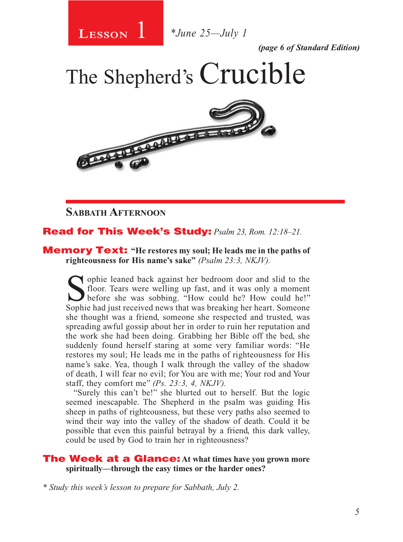

1 *\*June 25—July 1*

*(page 6 of Standard Edition)*

The Shepherd's Crucible



## **SABBATH AFTERNOON**

## Read for This Week's Study: *Psalm 23, Rom. 12:18–21.*

## Memory Text: **"He restores my soul; He leads me in the paths of righteousness for His name's sake"** *(Psalm 23:3, NKJV).*

Sophie leaned back against her bedroom door and slid to the floor. Tears were welling up fast, and it was only a moment before she was sobbing. "How could he? How could he!" Sophie had just received news that was breaking her heart. Someone she thought was a friend, someone she respected and trusted, was spreading awful gossip about her in order to ruin her reputation and the work she had been doing. Grabbing her Bible off the bed, she suddenly found herself staring at some very familiar words: "He restores my soul; He leads me in the paths of righteousness for His name's sake. Yea, though I walk through the valley of the shadow of death, I will fear no evil; for You are with me; Your rod and Your staff, they comfort me" *(Ps. 23:3, 4, NKJV).* 

"Surely this can't be!" she blurted out to herself. But the logic seemed inescapable. The Shepherd in the psalm was guiding His sheep in paths of righteousness, but these very paths also seemed to wind their way into the valley of the shadow of death. Could it be possible that even this painful betrayal by a friend, this dark valley, could be used by God to train her in righteousness?

## The Week at a Glance: **At what times have you grown more spiritually—through the easy times or the harder ones?**

*\* Study this week's lesson to prepare for Sabbath, July 2.*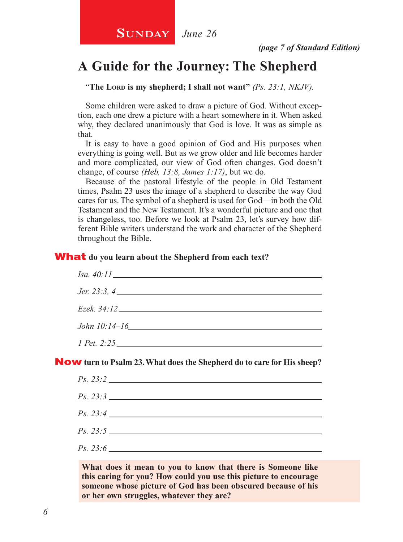# **A Guide for the Journey: The Shepherd**

"The Lord is my shepherd; I shall not want" *(Ps. 23:1, NKJV)*.

Some children were asked to draw a picture of God. Without exception, each one drew a picture with a heart somewhere in it. When asked why, they declared unanimously that God is love. It was as simple as that.

It is easy to have a good opinion of God and His purposes when everything is going well. But as we grow older and life becomes harder and more complicated, our view of God often changes. God doesn't change, of course *(Heb. 13:8, James 1:17)*, but we do.

Because of the pastoral lifestyle of the people in Old Testament times, Psalm 23 uses the image of a shepherd to describe the way God cares for us. The symbol of a shepherd is used for God—in both the Old Testament and the New Testament. It's a wonderful picture and one that is changeless, too. Before we look at Psalm 23, let's survey how different Bible writers understand the work and character of the Shepherd throughout the Bible.

#### What **do you learn about the Shepherd from each text?**

| <i>Jer.</i> 23:3, 4 |
|---------------------|
|                     |
|                     |
|                     |
| 1 Pet. 2:25         |

Now **turn to Psalm 23. What does the Shepherd do to care for His sheep?**

**What does it mean to you to know that there is Someone like this caring for you? How could you use this picture to encourage someone whose picture of God has been obscured because of his or her own struggles, whatever they are?**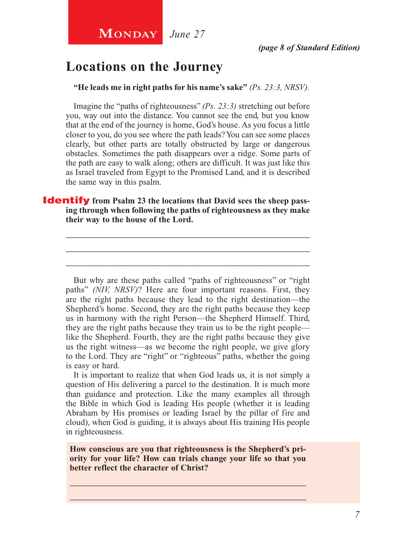# **Locations on the Journey**

**"He leads me in right paths for his name's sake"** *(Ps. 23:3, NRSV).*

Imagine the "paths of righteousness" *(Ps. 23:3)* stretching out before you, way out into the distance. You cannot see the end, but you know that at the end of the journey is home, God's house. As you focus a little closer to you, do you see where the path leads? You can see some places clearly, but other parts are totally obstructed by large or dangerous obstacles. Sometimes the path disappears over a ridge. Some parts of the path are easy to walk along; others are difficult. It was just like this as Israel traveled from Egypt to the Promised Land, and it is described the same way in this psalm.

## **Identify** from Psalm 23 the locations that David sees the sheep pass**ing through when following the paths of righteousness as they make their way to the house of the Lord.**

\_\_\_\_\_\_\_\_\_\_\_\_\_\_\_\_\_\_\_\_\_\_\_\_\_\_\_\_\_\_\_\_\_\_\_\_\_\_\_\_\_\_\_\_\_\_\_\_\_\_\_\_ \_\_\_\_\_\_\_\_\_\_\_\_\_\_\_\_\_\_\_\_\_\_\_\_\_\_\_\_\_\_\_\_\_\_\_\_\_\_\_\_\_\_\_\_\_\_\_\_\_\_\_\_ \_\_\_\_\_\_\_\_\_\_\_\_\_\_\_\_\_\_\_\_\_\_\_\_\_\_\_\_\_\_\_\_\_\_\_\_\_\_\_\_\_\_\_\_\_\_\_\_\_\_\_\_

But why are these paths called "paths of righteousness" or "right paths" *(NIV, NRSV)*? Here are four important reasons. First, they are the right paths because they lead to the right destination—the Shepherd's home. Second, they are the right paths because they keep us in harmony with the right Person—the Shepherd Himself. Third, they are the right paths because they train us to be the right people like the Shepherd. Fourth, they are the right paths because they give us the right witness—as we become the right people, we give glory to the Lord. They are "right" or "righteous" paths, whether the going is easy or hard.

It is important to realize that when God leads us, it is not simply a question of His delivering a parcel to the destination. It is much more than guidance and protection. Like the many examples all through the Bible in which God is leading His people (whether it is leading Abraham by His promises or leading Israel by the pillar of fire and cloud), when God is guiding, it is always about His training His people in righteousness.

**How conscious are you that righteousness is the Shepherd's priority for your life? How can trials change your life so that you better reflect the character of Christ?**

\_\_\_\_\_\_\_\_\_\_\_\_\_\_\_\_\_\_\_\_\_\_\_\_\_\_\_\_\_\_\_\_\_\_\_\_\_\_\_\_\_\_\_\_\_\_\_\_\_\_\_\_ \_\_\_\_\_\_\_\_\_\_\_\_\_\_\_\_\_\_\_\_\_\_\_\_\_\_\_\_\_\_\_\_\_\_\_\_\_\_\_\_\_\_\_\_\_\_\_\_\_\_\_\_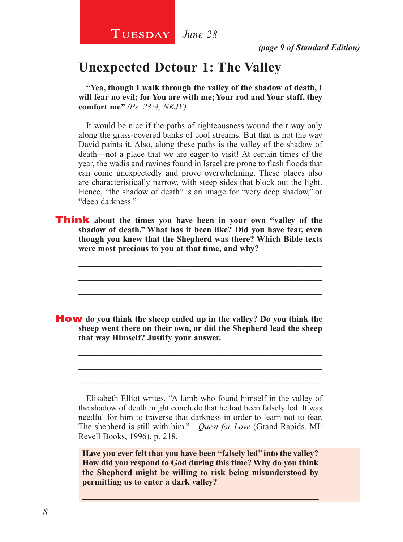# **Unexpected Detour 1: The Valley**

**"Yea, though I walk through the valley of the shadow of death, I will fear no evil; for You are with me; Your rod and Your staff, they comfort me"** *(Ps. 23:4, NKJV).*

It would be nice if the paths of righteousness wound their way only along the grass-covered banks of cool streams. But that is not the way David paints it. Also, along these paths is the valley of the shadow of death—not a place that we are eager to visit! At certain times of the year, the wadis and ravines found in Israel are prone to flash floods that can come unexpectedly and prove overwhelming. These places also are characteristically narrow, with steep sides that block out the light. Hence, "the shadow of death" is an image for "very deep shadow," or "deep darkness."

**Think** about the times you have been in your own "valley of the **shadow of death." What has it been like? Did you have fear, even though you knew that the Shepherd was there? Which Bible texts were most precious to you at that time, and why?**

\_\_\_\_\_\_\_\_\_\_\_\_\_\_\_\_\_\_\_\_\_\_\_\_\_\_\_\_\_\_\_\_\_\_\_\_\_\_\_\_\_\_\_\_\_\_\_\_\_\_\_\_ \_\_\_\_\_\_\_\_\_\_\_\_\_\_\_\_\_\_\_\_\_\_\_\_\_\_\_\_\_\_\_\_\_\_\_\_\_\_\_\_\_\_\_\_\_\_\_\_\_\_\_\_ \_\_\_\_\_\_\_\_\_\_\_\_\_\_\_\_\_\_\_\_\_\_\_\_\_\_\_\_\_\_\_\_\_\_\_\_\_\_\_\_\_\_\_\_\_\_\_\_\_\_\_\_

How **do you think the sheep ended up in the valley? Do you think the sheep went there on their own, or did the Shepherd lead the sheep that way Himself? Justify your answer.** 

Elisabeth Elliot writes, "A lamb who found himself in the valley of the shadow of death might conclude that he had been falsely led. It was needful for him to traverse that darkness in order to learn not to fear. The shepherd is still with him."—*Quest for Love* (Grand Rapids, MI: Revell Books, 1996), p. 218.

\_\_\_\_\_\_\_\_\_\_\_\_\_\_\_\_\_\_\_\_\_\_\_\_\_\_\_\_\_\_\_\_\_\_\_\_\_\_\_\_\_\_\_\_\_\_\_\_\_\_\_\_ \_\_\_\_\_\_\_\_\_\_\_\_\_\_\_\_\_\_\_\_\_\_\_\_\_\_\_\_\_\_\_\_\_\_\_\_\_\_\_\_\_\_\_\_\_\_\_\_\_\_\_\_ \_\_\_\_\_\_\_\_\_\_\_\_\_\_\_\_\_\_\_\_\_\_\_\_\_\_\_\_\_\_\_\_\_\_\_\_\_\_\_\_\_\_\_\_\_\_\_\_\_\_\_\_

**Have you ever felt that you have been "falsely led" into the valley? How did you respond to God during this time? Why do you think the Shepherd might be willing to risk being misunderstood by permitting us to enter a dark valley?**

\_\_\_\_\_\_\_\_\_\_\_\_\_\_\_\_\_\_\_\_\_\_\_\_\_\_\_\_\_\_\_\_\_\_\_\_\_\_\_\_\_\_\_\_\_\_\_\_\_\_\_\_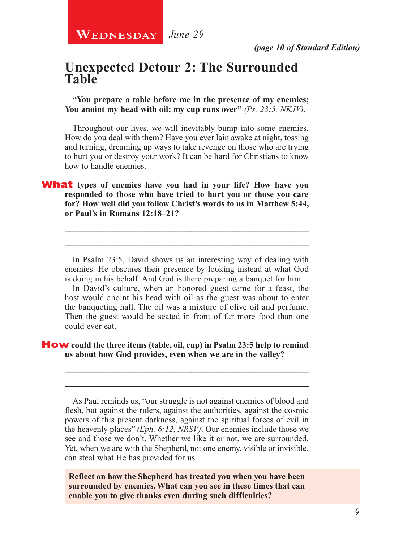## **Unexpected Detour 2: The Surrounded Table**

**"You prepare a table before me in the presence of my enemies; You anoint my head with oil; my cup runs over"** *(Ps. 23:5, NKJV)*.

Throughout our lives, we will inevitably bump into some enemies. How do you deal with them? Have you ever lain awake at night, tossing and turning, dreaming up ways to take revenge on those who are trying to hurt you or destroy your work? It can be hard for Christians to know how to handle enemies.

## What **types of enemies have you had in your life? How have you responded to those who have tried to hurt you or those you care for? How well did you follow Christ's words to us in Matthew 5:44, or Paul's in Romans 12:18–21?**

In Psalm 23:5, David shows us an interesting way of dealing with enemies. He obscures their presence by looking instead at what God is doing in his behalf. And God is there preparing a banquet for him.

\_\_\_\_\_\_\_\_\_\_\_\_\_\_\_\_\_\_\_\_\_\_\_\_\_\_\_\_\_\_\_\_\_\_\_\_\_\_\_\_\_\_\_\_\_\_\_\_\_\_\_\_ \_\_\_\_\_\_\_\_\_\_\_\_\_\_\_\_\_\_\_\_\_\_\_\_\_\_\_\_\_\_\_\_\_\_\_\_\_\_\_\_\_\_\_\_\_\_\_\_\_\_\_\_

In David's culture, when an honored guest came for a feast, the host would anoint his head with oil as the guest was about to enter the banqueting hall. The oil was a mixture of olive oil and perfume. Then the guest would be seated in front of far more food than one could ever eat.

## How **could the three items (table, oil, cup) in Psalm 23:5 help to remind us about how God provides, even when we are in the valley?**

As Paul reminds us, "our struggle is not against enemies of blood and flesh, but against the rulers, against the authorities, against the cosmic powers of this present darkness, against the spiritual forces of evil in the heavenly places" *(Eph. 6:12, NRSV)*. Our enemies include those we see and those we don't. Whether we like it or not, we are surrounded. Yet, when we are with the Shepherd, not one enemy, visible or invisible, can steal what He has provided for us.

\_\_\_\_\_\_\_\_\_\_\_\_\_\_\_\_\_\_\_\_\_\_\_\_\_\_\_\_\_\_\_\_\_\_\_\_\_\_\_\_\_\_\_\_\_\_\_\_\_\_\_\_ \_\_\_\_\_\_\_\_\_\_\_\_\_\_\_\_\_\_\_\_\_\_\_\_\_\_\_\_\_\_\_\_\_\_\_\_\_\_\_\_\_\_\_\_\_\_\_\_\_\_\_\_

**Reflect on how the Shepherd has treated you when you have been surrounded by enemies. What can you see in these times that can enable you to give thanks even during such difficulties?**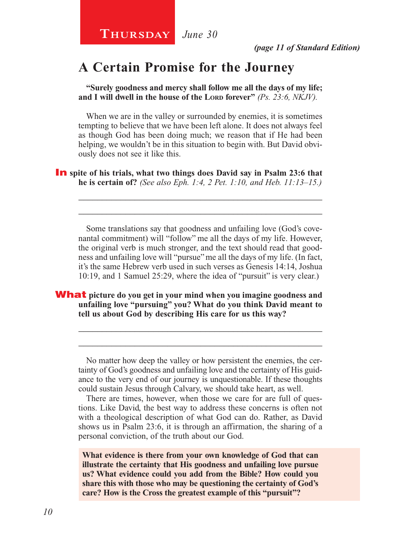# **A Certain Promise for the Journey**

**"Surely goodness and mercy shall follow me all the days of my life;**  and I will dwell in the house of the Lord forever" (Ps. 23:6, NKJV).

When we are in the valley or surrounded by enemies, it is sometimes tempting to believe that we have been left alone. It does not always feel as though God has been doing much; we reason that if He had been helping, we wouldn't be in this situation to begin with. But David obviously does not see it like this.

**In** spite of his trials, what two things does David say in Psalm 23:6 that **he is certain of?** *(See also Eph. 1:4, 2 Pet. 1:10, and Heb. 11:13–15.)*

Some translations say that goodness and unfailing love (God's covenantal commitment) will "follow" me all the days of my life. However, the original verb is much stronger, and the text should read that goodness and unfailing love will "pursue" me all the days of my life. (In fact, it's the same Hebrew verb used in such verses as Genesis 14:14, Joshua 10:19, and 1 Samuel 25:29, where the idea of "pursuit" is very clear.)

\_\_\_\_\_\_\_\_\_\_\_\_\_\_\_\_\_\_\_\_\_\_\_\_\_\_\_\_\_\_\_\_\_\_\_\_\_\_\_\_\_\_\_\_\_\_\_\_\_\_\_\_ \_\_\_\_\_\_\_\_\_\_\_\_\_\_\_\_\_\_\_\_\_\_\_\_\_\_\_\_\_\_\_\_\_\_\_\_\_\_\_\_\_\_\_\_\_\_\_\_\_\_\_\_

What **picture do you get in your mind when you imagine goodness and unfailing love "pursuing" you? What do you think David meant to tell us about God by describing His care for us this way?**

No matter how deep the valley or how persistent the enemies, the certainty of God's goodness and unfailing love and the certainty of His guidance to the very end of our journey is unquestionable. If these thoughts could sustain Jesus through Calvary, we should take heart, as well.

\_\_\_\_\_\_\_\_\_\_\_\_\_\_\_\_\_\_\_\_\_\_\_\_\_\_\_\_\_\_\_\_\_\_\_\_\_\_\_\_\_\_\_\_\_\_\_\_\_\_\_\_ \_\_\_\_\_\_\_\_\_\_\_\_\_\_\_\_\_\_\_\_\_\_\_\_\_\_\_\_\_\_\_\_\_\_\_\_\_\_\_\_\_\_\_\_\_\_\_\_\_\_\_\_

There are times, however, when those we care for are full of questions. Like David, the best way to address these concerns is often not with a theological description of what God can do. Rather, as David shows us in Psalm 23:6, it is through an affirmation, the sharing of a personal conviction, of the truth about our God.

**What evidence is there from your own knowledge of God that can illustrate the certainty that His goodness and unfailing love pursue us? What evidence could you add from the Bible? How could you share this with those who may be questioning the certainty of God's care? How is the Cross the greatest example of this "pursuit"?**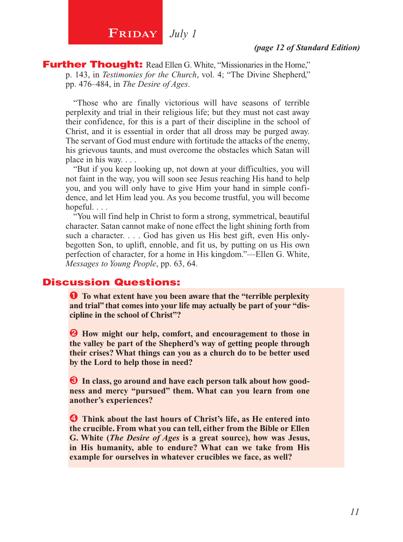# **FRIDAY** July 1

#### *(page 12 of Standard Edition)*

**Further Thought:** Read Ellen G. White, "Missionaries in the Home," p. 143, in *Testimonies for the Church*, vol. 4; "The Divine Shepherd," pp. 476–484, in *The Desire of Ages*.

"Those who are finally victorious will have seasons of terrible perplexity and trial in their religious life; but they must not cast away their confidence, for this is a part of their discipline in the school of Christ, and it is essential in order that all dross may be purged away. The servant of God must endure with fortitude the attacks of the enemy, his grievous taunts, and must overcome the obstacles which Satan will place in his way. . . .

"But if you keep looking up, not down at your difficulties, you will not faint in the way, you will soon see Jesus reaching His hand to help you, and you will only have to give Him your hand in simple confidence, and let Him lead you. As you become trustful, you will become hopeful. . . .

"You will find help in Christ to form a strong, symmetrical, beautiful character. Satan cannot make of none effect the light shining forth from such a character. . . . God has given us His best gift, even His onlybegotten Son, to uplift, ennoble, and fit us, by putting on us His own perfection of character, for a home in His kingdom."—Ellen G. White, *Messages to Young People*, pp. 63, 64.

## Discussion Questions:

Ê **To what extent have you been aware that the "terrible perplexity and trial" that comes into your life may actually be part of your "discipline in the school of Christ"?**

 $\Theta$  How might our help, comfort, and encouragement to those in **the valley be part of the Shepherd's way of getting people through their crises? What things can you as a church do to be better used by the Lord to help those in need?**

 $\bullet$  In class, go around and have each person talk about how good**ness and mercy "pursued" them. What can you learn from one another's experiences?**

 $\bullet$  Think about the last hours of Christ's life, as He entered into **the crucible. From what you can tell, either from the Bible or Ellen G. White (***The Desire of Ages* **is a great source), how was Jesus, in His humanity, able to endure? What can we take from His example for ourselves in whatever crucibles we face, as well?**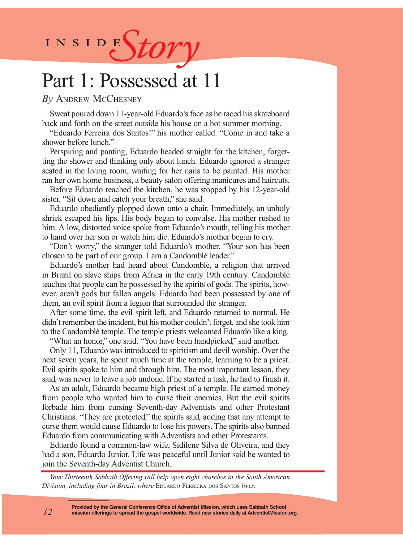INSIDES*tory* 

# Part 1: Possessed at 11

*By* Andrew McChesney

Sweat poured down 11-year-old Eduardo's face as he raced his skateboard back and forth on the street outside his house on a hot summer morning.

"Eduardo Ferreira dos Santos!" his mother called. "Come in and take a shower before lunch."

Perspiring and panting, Eduardo headed straight for the kitchen, forgetting the shower and thinking only about lunch. Eduardo ignored a stranger seated in the living room, waiting for her nails to be painted. His mother ran her own home business, a beauty salon offering manicures and haircuts.

Before Eduardo reached the kitchen, he was stopped by his 12-year-old sister. "Sit down and catch your breath," she said.

Eduardo obediently plopped down onto a chair. Immediately, an unholy shriek escaped his lips. His body began to convulse. His mother rushed to him. A low, distorted voice spoke from Eduardo's mouth, telling his mother to hand over her son or watch him die. Eduardo's mother began to cry.

"Don't worry," the stranger told Eduardo's mother. "Your son has been chosen to be part of our group. I am a Candomblé leader."

Eduardo's mother had heard about Candomblé, a religion that arrived in Brazil on slave ships from Africa in the early 19th century. Candomblé teaches that people can be possessed by the spirits of gods. The spirits, however, aren't gods but fallen angels. Eduardo had been possessed by one of them, an evil spirit from a legion that surrounded the stranger.

After some time, the evil spirit left, and Eduardo returned to normal. He didn't remember the incident, but his mother couldn't forget, and she took him to the Candomblé temple. The temple priests welcomed Eduardo like a king.

"What an honor," one said. "You have been handpicked," said another.

Only 11, Eduardo was introduced to spiritism and devil worship. Over the next seven years, he spent much time at the temple, learning to be a priest. Evil spirits spoke to him and through him. The most important lesson, they said, was never to leave a job undone. If he started a task, he had to finish it.

As an adult, Eduardo became high priest of a temple. He earned money from people who wanted him to curse their enemies. But the evil spirits forbade him from cursing Seventh-day Adventists and other Protestant Christians. "They are protected," the spirits said, adding that any attempt to curse them would cause Eduardo to lose his powers. The spirits also banned Eduardo from communicating with Adventists and other Protestants.

Eduardo found a common-law wife, Sidilene Silva de Oliveira, and they had a son, Eduardo Junior. Life was peaceful until Junior said he wanted to join the Seventh-day Adventist Church.

*Your Thirteenth Sabbath Offering will help open eight churches in the South American Division, including four in Brazil, where* Eduardo Ferreira dos Santos *lives.*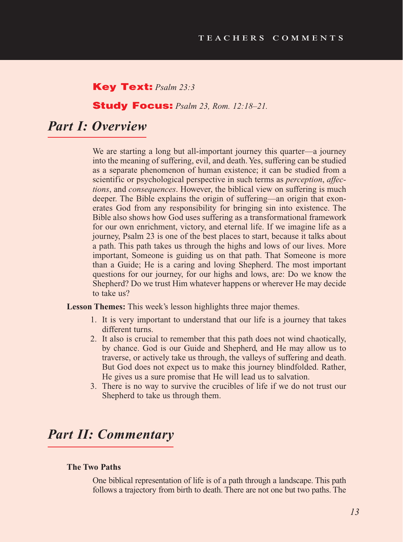## Key Text: *Psalm 23:3*

## Study Focus: *Psalm 23, Rom. 12:18–21.*

# *Part I: Overview*

We are starting a long but all-important journey this quarter—a journey into the meaning of suffering, evil, and death. Yes, suffering can be studied as a separate phenomenon of human existence; it can be studied from a scientific or psychological perspective in such terms as *perception*, *affections*, and *consequences*. However, the biblical view on suffering is much deeper. The Bible explains the origin of suffering—an origin that exonerates God from any responsibility for bringing sin into existence. The Bible also shows how God uses suffering as a transformational framework for our own enrichment, victory, and eternal life. If we imagine life as a journey, Psalm 23 is one of the best places to start, because it talks about a path. This path takes us through the highs and lows of our lives. More important, Someone is guiding us on that path. That Someone is more than a Guide; He is a caring and loving Shepherd. The most important questions for our journey, for our highs and lows, are: Do we know the Shepherd? Do we trust Him whatever happens or wherever He may decide to take us?

Lesson Themes: This week's lesson highlights three major themes.

- 1. It is very important to understand that our life is a journey that takes different turns.
- 2. It also is crucial to remember that this path does not wind chaotically, by chance. God is our Guide and Shepherd, and He may allow us to traverse, or actively take us through, the valleys of suffering and death. But God does not expect us to make this journey blindfolded. Rather, He gives us a sure promise that He will lead us to salvation.
- 3. There is no way to survive the crucibles of life if we do not trust our Shepherd to take us through them.

# *Part II: Commentary*

### **The Two Paths**

One biblical representation of life is of a path through a landscape. This path follows a trajectory from birth to death. There are not one but two paths. The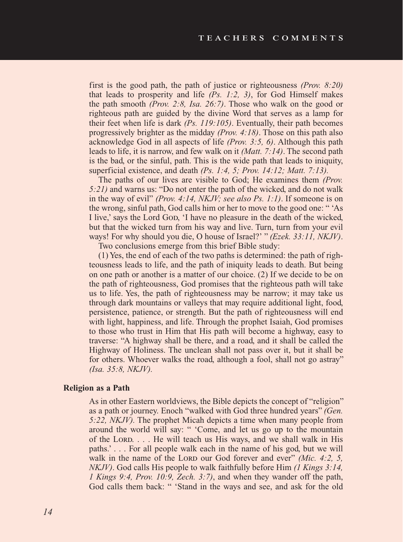first is the good path, the path of justice or righteousness *(Prov. 8:20)*  that leads to prosperity and life *(Ps. 1:2, 3)*, for God Himself makes the path smooth *(Prov. 2:8, Isa. 26:7)*. Those who walk on the good or righteous path are guided by the divine Word that serves as a lamp for their feet when life is dark *(Ps. 119:105)*. Eventually, their path becomes progressively brighter as the midday *(Prov. 4:18)*. Those on this path also acknowledge God in all aspects of life *(Prov. 3:5, 6)*. Although this path leads to life, it is narrow, and few walk on it *(Matt. 7:14)*. The second path is the bad, or the sinful, path. This is the wide path that leads to iniquity, superficial existence, and death *(Ps. 1:4, 5; Prov. 14:12; Matt. 7:13).*

The paths of our lives are visible to God; He examines them *(Prov. 5:21)* and warns us: "Do not enter the path of the wicked, and do not walk in the way of evil" *(Prov. 4:14, NKJV; see also Ps. 1:1)*. If someone is on the wrong, sinful path, God calls him or her to move to the good one: " 'As I live,' says the Lord God, 'I have no pleasure in the death of the wicked, but that the wicked turn from his way and live. Turn, turn from your evil ways! For why should you die, O house of Israel?' " *(Ezek. 33:11, NKJV)*.

Two conclusions emerge from this brief Bible study:

(1) Yes, the end of each of the two paths is determined: the path of righteousness leads to life, and the path of iniquity leads to death. But being on one path or another is a matter of our choice. (2) If we decide to be on the path of righteousness, God promises that the righteous path will take us to life. Yes, the path of righteousness may be narrow; it may take us through dark mountains or valleys that may require additional light, food, persistence, patience, or strength. But the path of righteousness will end with light, happiness, and life. Through the prophet Isaiah, God promises to those who trust in Him that His path will become a highway, easy to traverse: "A highway shall be there, and a road, and it shall be called the Highway of Holiness. The unclean shall not pass over it, but it shall be for others. Whoever walks the road, although a fool, shall not go astray" *(Isa. 35:8, NKJV).*

#### **Religion as a Path**

As in other Eastern worldviews, the Bible depicts the concept of "religion" as a path or journey. Enoch "walked with God three hundred years" *(Gen. 5:22, NKJV).* The prophet Micah depicts a time when many people from around the world will say: " 'Come, and let us go up to the mountain of the LORD. . . . He will teach us His ways, and we shall walk in His paths.' . . . For all people walk each in the name of his god, but we will walk in the name of the Lord our God forever and ever" *(Mic. 4:2, 5, x) NKJV)*. God calls His people to walk faithfully before Him *(1 Kings 3:14, 1 Kings 9:4, Prov. 10:9, Zech. 3:7)*, and when they wander off the path, God calls them back: " 'Stand in the ways and see, and ask for the old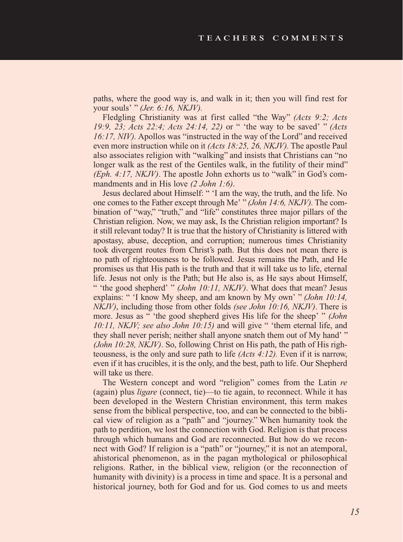paths, where the good way is, and walk in it; then you will find rest for your souls' " *(Jer. 6:16, NKJV).*

Fledgling Christianity was at first called "the Way" *(Acts 9:2; Acts 19:9, 23; Acts 22:4; Acts 24:14, 22)* or " 'the way to be saved' " *(Acts 16:17, NIV).* Apollos was "instructed in the way of the Lord" and received even more instruction while on it *(Acts 18:25, 26, NKJV).* The apostle Paul also associates religion with "walking" and insists that Christians can "no longer walk as the rest of the Gentiles walk, in the futility of their mind" *(Eph. 4:17, NKJV)*. The apostle John exhorts us to "walk" in God's commandments and in His love *(2 John 1:6)*.

Jesus declared about Himself: " 'I am the way, the truth, and the life. No one comes to the Father except through Me' " *(John 14:6, NKJV).* The combination of "way," "truth," and "life" constitutes three major pillars of the Christian religion. Now, we may ask, Is the Christian religion important? Is it still relevant today? It is true that the history of Christianity is littered with apostasy, abuse, deception, and corruption; numerous times Christianity took divergent routes from Christ's path. But this does not mean there is no path of righteousness to be followed. Jesus remains the Path, and He promises us that His path is the truth and that it will take us to life, eternal life. Jesus not only is the Path; but He also is, as He says about Himself, " 'the good shepherd' " *(John 10:11, NKJV)*. What does that mean? Jesus explains: " 'I know My sheep, and am known by My own' " *(John 10:14, NKJV)*, including those from other folds *(see John 10:16, NKJV)*. There is more. Jesus as " 'the good shepherd gives His life for the sheep' " *(John 10:11, NKJV; see also John 10:15)* and will give " 'them eternal life, and they shall never perish; neither shall anyone snatch them out of My hand' " *(John 10:28, NKJV)*. So, following Christ on His path, the path of His righteousness, is the only and sure path to life *(Acts 4:12).* Even if it is narrow, even if it has crucibles, it is the only, and the best, path to life. Our Shepherd will take us there.

The Western concept and word "religion" comes from the Latin *re* (again) plus *ligare* (connect, tie)—to tie again, to reconnect. While it has been developed in the Western Christian environment, this term makes sense from the biblical perspective, too, and can be connected to the biblical view of religion as a "path" and "journey." When humanity took the path to perdition, we lost the connection with God. Religion is that process through which humans and God are reconnected. But how do we reconnect with God? If religion is a "path" or "journey," it is not an atemporal, ahistorical phenomenon, as in the pagan mythological or philosophical religions. Rather, in the biblical view, religion (or the reconnection of humanity with divinity) is a process in time and space. It is a personal and historical journey, both for God and for us. God comes to us and meets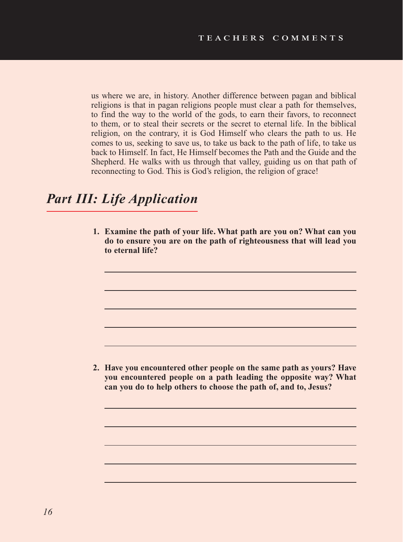us where we are, in history. Another difference between pagan and biblical religions is that in pagan religions people must clear a path for themselves, to find the way to the world of the gods, to earn their favors, to reconnect to them, or to steal their secrets or the secret to eternal life. In the biblical religion, on the contrary, it is God Himself who clears the path to us. He comes to us, seeking to save us, to take us back to the path of life, to take us back to Himself. In fact, He Himself becomes the Path and the Guide and the Shepherd. He walks with us through that valley, guiding us on that path of reconnecting to God. This is God's religion, the religion of grace!

# *Part III: Life Application*

**1. Examine the path of your life. What path are you on? What can you do to ensure you are on the path of righteousness that will lead you to eternal life?**

**2. Have you encountered other people on the same path as yours? Have you encountered people on a path leading the opposite way? What can you do to help others to choose the path of, and to, Jesus?**